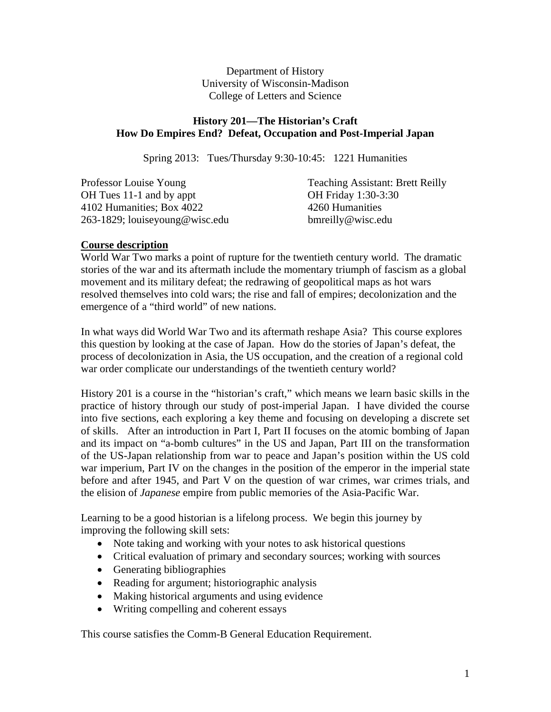Department of History University of Wisconsin-Madison College of Letters and Science

# **History 201—The Historian's Craft How Do Empires End? Defeat, Occupation and Post-Imperial Japan**

Spring 2013: Tues/Thursday 9:30-10:45: 1221 Humanities

| Professor Louise Young         | <b>Teaching Assistant: Brett Reilly</b> |
|--------------------------------|-----------------------------------------|
| OH Tues 11-1 and by appt       | <b>OH Friday 1:30-3:30</b>              |
| 4102 Humanities; Box 4022      | 4260 Humanities                         |
| 263-1829; louiseyoung@wisc.edu | bmreilly@wisc.edu                       |

# **Course description**

World War Two marks a point of rupture for the twentieth century world. The dramatic stories of the war and its aftermath include the momentary triumph of fascism as a global movement and its military defeat; the redrawing of geopolitical maps as hot wars resolved themselves into cold wars; the rise and fall of empires; decolonization and the emergence of a "third world" of new nations.

In what ways did World War Two and its aftermath reshape Asia? This course explores this question by looking at the case of Japan. How do the stories of Japan's defeat, the process of decolonization in Asia, the US occupation, and the creation of a regional cold war order complicate our understandings of the twentieth century world?

History 201 is a course in the "historian's craft," which means we learn basic skills in the practice of history through our study of post-imperial Japan. I have divided the course into five sections, each exploring a key theme and focusing on developing a discrete set of skills. After an introduction in Part I, Part II focuses on the atomic bombing of Japan and its impact on "a-bomb cultures" in the US and Japan, Part III on the transformation of the US-Japan relationship from war to peace and Japan's position within the US cold war imperium, Part IV on the changes in the position of the emperor in the imperial state before and after 1945, and Part V on the question of war crimes, war crimes trials, and the elision of *Japanese* empire from public memories of the Asia-Pacific War.

Learning to be a good historian is a lifelong process. We begin this journey by improving the following skill sets:

- Note taking and working with your notes to ask historical questions
- Critical evaluation of primary and secondary sources; working with sources
- Generating bibliographies
- Reading for argument; historiographic analysis
- Making historical arguments and using evidence
- Writing compelling and coherent essays

This course satisfies the Comm-B General Education Requirement.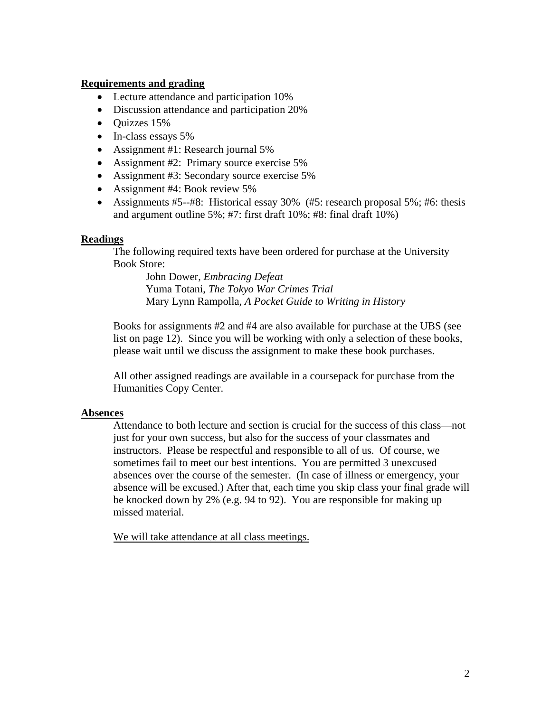### **Requirements and grading**

- Lecture attendance and participation 10%
- Discussion attendance and participation 20%
- Quizzes 15%
- In-class essays 5%
- Assignment #1: Research journal 5%
- Assignment #2: Primary source exercise 5%
- Assignment #3: Secondary source exercise 5%
- Assignment #4: Book review 5%
- Assignments #5--#8: Historical essay 30% (#5: research proposal 5%; #6: thesis and argument outline 5%; #7: first draft 10%; #8: final draft 10%)

### **Readings**

The following required texts have been ordered for purchase at the University Book Store:

John Dower, *Embracing Defeat* Yuma Totani, *The Tokyo War Crimes Trial*  Mary Lynn Rampolla, *A Pocket Guide to Writing in History* 

Books for assignments #2 and #4 are also available for purchase at the UBS (see list on page 12). Since you will be working with only a selection of these books, please wait until we discuss the assignment to make these book purchases.

All other assigned readings are available in a coursepack for purchase from the Humanities Copy Center.

### **Absences**

Attendance to both lecture and section is crucial for the success of this class—not just for your own success, but also for the success of your classmates and instructors. Please be respectful and responsible to all of us. Of course, we sometimes fail to meet our best intentions. You are permitted 3 unexcused absences over the course of the semester. (In case of illness or emergency, your absence will be excused.) After that, each time you skip class your final grade will be knocked down by 2% (e.g. 94 to 92). You are responsible for making up missed material.

We will take attendance at all class meetings.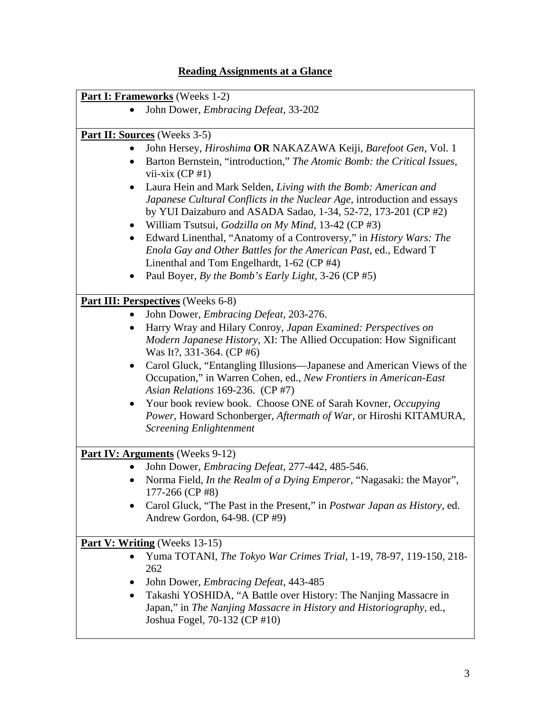# **Reading Assignments at a Glance**

|           | <b>Part I: Frameworks</b> (Weeks 1-2)                                                                                                                                                                       |
|-----------|-------------------------------------------------------------------------------------------------------------------------------------------------------------------------------------------------------------|
|           | John Dower, Embracing Defeat, 33-202                                                                                                                                                                        |
|           | <b>Part II: Sources</b> (Weeks 3-5)                                                                                                                                                                         |
|           | John Hersey, Hiroshima OR NAKAZAWA Keiji, Barefoot Gen, Vol. 1                                                                                                                                              |
|           | Barton Bernstein, "introduction," The Atomic Bomb: the Critical Issues,<br>vii-xix $(CP \# 1)$                                                                                                              |
|           | Laura Hein and Mark Selden, Living with the Bomb: American and<br>Japanese Cultural Conflicts in the Nuclear Age, introduction and essays<br>by YUI Daizaburo and ASADA Sadao, 1-34, 52-72, 173-201 (CP #2) |
|           | William Tsutsui, Godzilla on My Mind, 13-42 (CP #3)                                                                                                                                                         |
| $\bullet$ | Edward Linenthal, "Anatomy of a Controversy," in History Wars: The<br>Enola Gay and Other Battles for the American Past, ed., Edward T<br>Linenthal and Tom Engelhardt, 1-62 (CP #4)                        |
|           | Paul Boyer, By the Bomb's Early Light, 3-26 (CP #5)                                                                                                                                                         |
|           | <b>Part III: Perspectives</b> (Weeks 6-8)                                                                                                                                                                   |
|           | John Dower, Embracing Defeat, 203-276.                                                                                                                                                                      |
|           | Harry Wray and Hilary Conroy, Japan Examined: Perspectives on                                                                                                                                               |
|           | Modern Japanese History, XI: The Allied Occupation: How Significant<br>Was It?, 331-364. (CP #6)                                                                                                            |
| $\bullet$ | Carol Gluck, "Entangling Illusions—Japanese and American Views of the<br>Occupation," in Warren Cohen, ed., New Frontiers in American-East<br>Asian Relations 169-236. (CP #7)                              |
|           | Your book review book. Choose ONE of Sarah Kovner, Occupying<br>Power, Howard Schonberger, Aftermath of War, or Hiroshi KITAMURA,<br><b>Screening Enlightenment</b>                                         |
|           | <b>Part IV: Arguments</b> (Weeks 9-12)                                                                                                                                                                      |
|           | John Dower, Embracing Defeat, 277-442, 485-546.                                                                                                                                                             |
|           | Norma Field, In the Realm of a Dying Emperor, "Nagasaki: the Mayor",<br>177-266 (CP #8)                                                                                                                     |
|           | Carol Gluck, "The Past in the Present," in Postwar Japan as History, ed.<br>Andrew Gordon, 64-98. (CP #9)                                                                                                   |
|           | Part V: Writing (Weeks 13-15)                                                                                                                                                                               |
| $\bullet$ | Yuma TOTANI, The Tokyo War Crimes Trial, 1-19, 78-97, 119-150, 218-<br>262                                                                                                                                  |
|           | John Dower, <i>Embracing Defeat</i> , 443-485                                                                                                                                                               |
|           | Takashi YOSHIDA, "A Battle over History: The Nanjing Massacre in<br>Japan," in The Nanjing Massacre in History and Historiography, ed.,<br>Joshua Fogel, 70-132 (CP #10)                                    |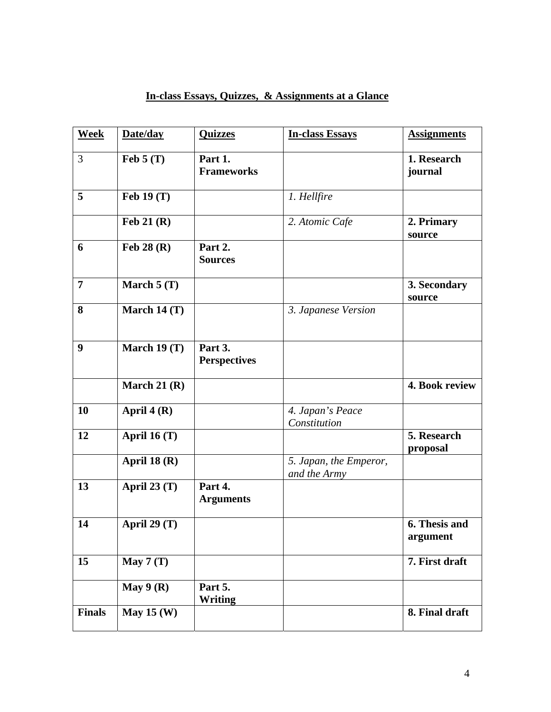| <b>Week</b>    | Date/day       | <b>Quizzes</b>                 | <b>In-class Essays</b>                 | <b>Assignments</b>        |
|----------------|----------------|--------------------------------|----------------------------------------|---------------------------|
| 3              | Feb $5(T)$     | Part 1.<br><b>Frameworks</b>   |                                        | 1. Research<br>journal    |
| 5              | Feb 19 (T)     |                                | 1. Hellfire                            |                           |
|                | Feb $21(R)$    |                                | 2. Atomic Cafe                         | 2. Primary<br>source      |
| 6              | Feb $28(R)$    | Part 2.<br><b>Sources</b>      |                                        |                           |
| $\overline{7}$ | March $5(T)$   |                                |                                        | 3. Secondary<br>source    |
| 8              | March 14 $(T)$ |                                | 3. Japanese Version                    |                           |
| 9              | March $19(T)$  | Part 3.<br><b>Perspectives</b> |                                        |                           |
|                | March 21 $(R)$ |                                |                                        | 4. Book review            |
| 10             | April $4(R)$   |                                | 4. Japan's Peace<br>Constitution       |                           |
| 12             | April 16 (T)   |                                |                                        | 5. Research<br>proposal   |
|                | April 18 $(R)$ |                                | 5. Japan, the Emperor,<br>and the Army |                           |
| 13             | April 23 (T)   | Part 4.<br><b>Arguments</b>    |                                        |                           |
| 14             | April 29 $(T)$ |                                |                                        | 6. Thesis and<br>argument |
| 15             | May $7(T)$     |                                |                                        | 7. First draft            |
|                | May $9(R)$     | Part 5.<br><b>Writing</b>      |                                        |                           |
| <b>Finals</b>  | May $15(W)$    |                                |                                        | 8. Final draft            |

# **In-class Essays, Quizzes, & Assignments at a Glance**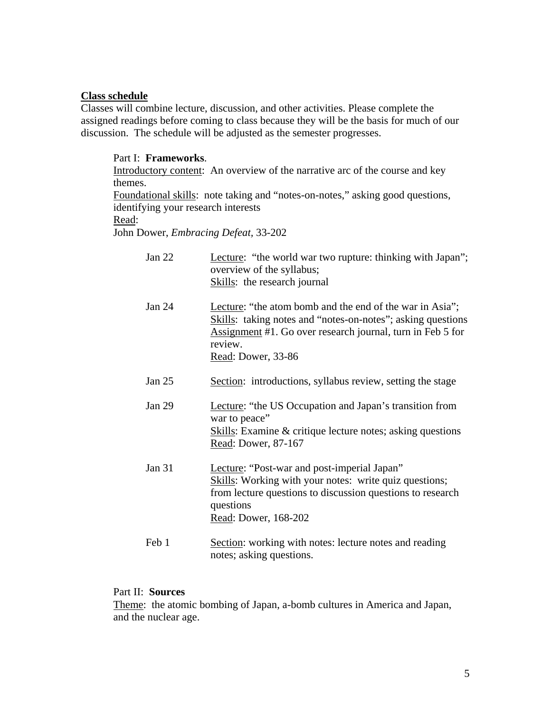## **Class schedule**

Classes will combine lecture, discussion, and other activities. Please complete the assigned readings before coming to class because they will be the basis for much of our discussion. The schedule will be adjusted as the semester progresses.

# Part I: **Frameworks**. Introductory content: An overview of the narrative arc of the course and key themes. Foundational skills: note taking and "notes-on-notes," asking good questions, identifying your research interests Read: John Dower, *Embracing Defeat,* 33-202

| Jan 22   | Lecture: "the world war two rupture: thinking with Japan";<br>overview of the syllabus;<br>Skills: the research journal                                                                                                |
|----------|------------------------------------------------------------------------------------------------------------------------------------------------------------------------------------------------------------------------|
| Jan 24   | Lecture: "the atom bomb and the end of the war in Asia";<br>Skills: taking notes and "notes-on-notes"; asking questions<br>Assignment #1. Go over research journal, turn in Feb 5 for<br>review.<br>Read: Dower, 33-86 |
| Jan $25$ | Section: introductions, syllabus review, setting the stage                                                                                                                                                             |
| Jan $29$ | Lecture: "the US Occupation and Japan's transition from<br>war to peace"<br><b>Skills:</b> Examine & critique lecture notes; asking questions<br>Read: Dower, 87-167                                                   |
| Jan 31   | Lecture: "Post-war and post-imperial Japan"<br>Skills: Working with your notes: write quiz questions;<br>from lecture questions to discussion questions to research<br>questions<br>Read: Dower, 168-202               |
| Feb 1    | Section: working with notes: lecture notes and reading<br>notes; asking questions.                                                                                                                                     |

### Part II: **Sources**

Theme: the atomic bombing of Japan, a-bomb cultures in America and Japan, and the nuclear age.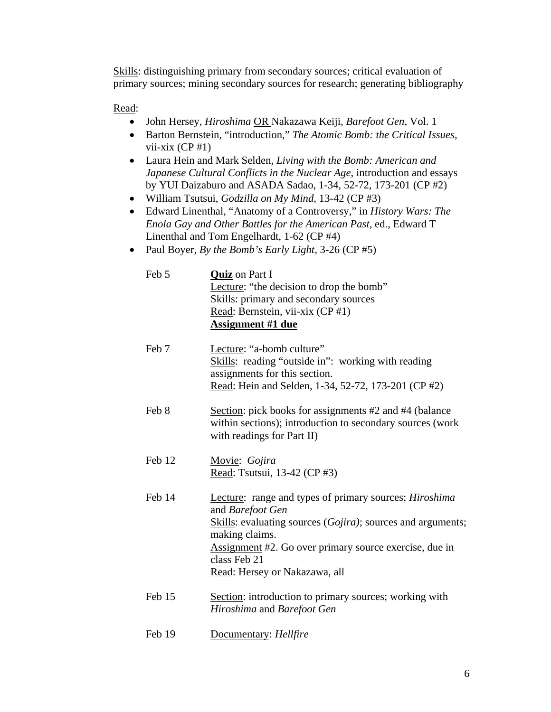Skills: distinguishing primary from secondary sources; critical evaluation of primary sources; mining secondary sources for research; generating bibliography

Read:

- John Hersey, *Hiroshima* OR Nakazawa Keiji, *Barefoot Gen*, Vol. 1
- Barton Bernstein, "introduction," *The Atomic Bomb: the Critical Issues*, vii-xix  $(CP \# 1)$
- Laura Hein and Mark Selden, *Living with the Bomb: American and Japanese Cultural Conflicts in the Nuclear Age*, introduction and essays by YUI Daizaburo and ASADA Sadao, 1-34, 52-72, 173-201 (CP #2)
- William Tsutsui, *Godzilla on My Mind*, 13-42 (CP #3)
- Edward Linenthal, "Anatomy of a Controversy," in *History Wars: The Enola Gay and Other Battles for the American Past*, ed., Edward T Linenthal and Tom Engelhardt, 1-62 (CP #4)
- Paul Boyer, *By the Bomb's Early Light*, 3-26 (CP #5)

| Feb 5  | <b>Quiz</b> on Part I<br>Lecture: "the decision to drop the bomb"<br>Skills: primary and secondary sources<br>Read: Bernstein, vii-xix (CP #1)<br><b>Assignment #1 due</b>                                                                                             |
|--------|------------------------------------------------------------------------------------------------------------------------------------------------------------------------------------------------------------------------------------------------------------------------|
| Feb 7  | Lecture: "a-bomb culture"<br>Skills: reading "outside in": working with reading<br>assignments for this section.<br>Read: Hein and Selden, 1-34, 52-72, 173-201 (CP #2)                                                                                                |
| Feb 8  | Section: pick books for assignments #2 and #4 (balance<br>within sections); introduction to secondary sources (work<br>with readings for Part II)                                                                                                                      |
| Feb 12 | Movie: Gojira<br>Read: Tsutsui, 13-42 (CP #3)                                                                                                                                                                                                                          |
| Feb 14 | Lecture: range and types of primary sources; Hiroshima<br>and Barefoot Gen<br>Skills: evaluating sources (Gojira); sources and arguments;<br>making claims.<br>Assignment #2. Go over primary source exercise, due in<br>class Feb 21<br>Read: Hersey or Nakazawa, all |
| Feb 15 | Section: introduction to primary sources; working with<br>Hiroshima and Barefoot Gen                                                                                                                                                                                   |
| Feb 19 | Documentary: Hellfire                                                                                                                                                                                                                                                  |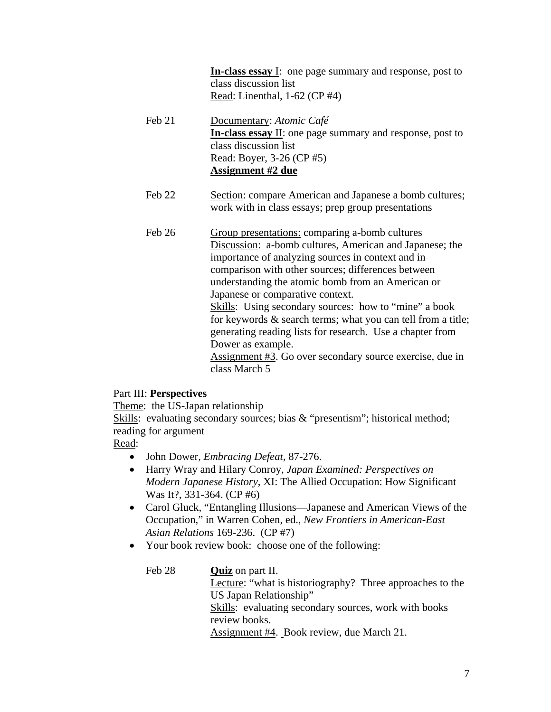**In-class essay** I: one page summary and response, post to class discussion list Read: Linenthal, 1-62 (CP #4)

- Feb 21 Documentary: *Atomic Café* **In-class essay** II: one page summary and response, post to class discussion list Read: Boyer, 3-26 (CP #5) **Assignment #2 due**
- Feb 22 Section: compare American and Japanese a bomb cultures; work with in class essays; prep group presentations
- Feb 26 Group presentations: comparing a-bomb cultures Discussion: a-bomb cultures, American and Japanese; the importance of analyzing sources in context and in comparison with other sources; differences between understanding the atomic bomb from an American or Japanese or comparative context. Skills: Using secondary sources: how to "mine" a book for keywords & search terms; what you can tell from a title; generating reading lists for research. Use a chapter from Dower as example. Assignment #3. Go over secondary source exercise, due in class March 5

# Part III: **Perspectives**

Theme: the US-Japan relationship

Skills: evaluating secondary sources; bias & "presentism"; historical method; reading for argument

Read:

- John Dower, *Embracing Defeat*, 87-276.
- Harry Wray and Hilary Conroy, *Japan Examined: Perspectives on Modern Japanese History*, XI: The Allied Occupation: How Significant Was It?, 331-364. (CP #6)
- Carol Gluck, "Entangling Illusions—Japanese and American Views of the Occupation," in Warren Cohen, ed., *New Frontiers in American-East Asian Relations* 169-236. (CP #7)
- Your book review book: choose one of the following:

Feb 28 **Quiz** on part II. Lecture: "what is historiography? Three approaches to the US Japan Relationship" Skills: evaluating secondary sources, work with books review books. Assignment #4. Book review, due March 21.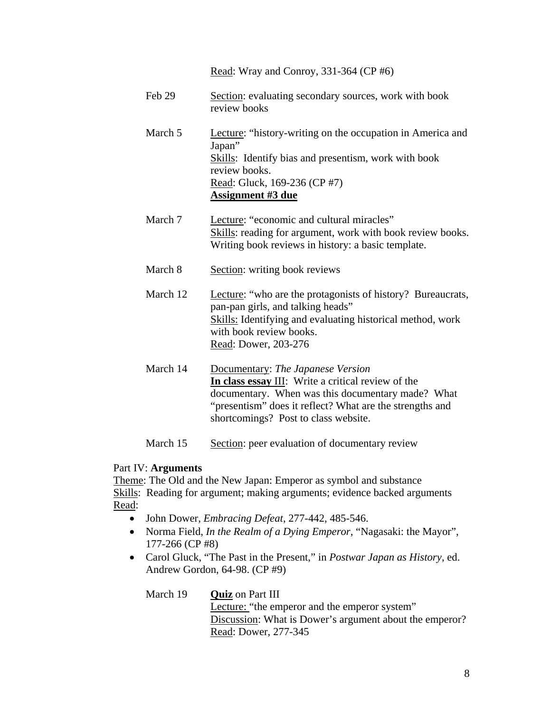|          | Read: Wray and Conroy, 331-364 (CP #6)                                                                                                                                                                                                           |
|----------|--------------------------------------------------------------------------------------------------------------------------------------------------------------------------------------------------------------------------------------------------|
| Feb 29   | Section: evaluating secondary sources, work with book<br>review books                                                                                                                                                                            |
| March 5  | Lecture: "history-writing on the occupation in America and<br>Japan"<br><b>Skills:</b> Identify bias and presentism, work with book<br>review books.<br>Read: Gluck, 169-236 (CP #7)<br><b>Assignment #3 due</b>                                 |
| March 7  | Lecture: "economic and cultural miracles"<br>Skills: reading for argument, work with book review books.<br>Writing book reviews in history: a basic template.                                                                                    |
| March 8  | Section: writing book reviews                                                                                                                                                                                                                    |
| March 12 | Lecture: "who are the protagonists of history? Bureaucrats,<br>pan-pan girls, and talking heads"<br>Skills: Identifying and evaluating historical method, work<br>with book review books.<br>Read: Dower, 203-276                                |
| March 14 | Documentary: The Japanese Version<br>In class essay III: Write a critical review of the<br>documentary. When was this documentary made? What<br>"presentism" does it reflect? What are the strengths and<br>shortcomings? Post to class website. |
| March 15 | Section: peer evaluation of documentary review                                                                                                                                                                                                   |

# Part IV: **Arguments**

Theme: The Old and the New Japan: Emperor as symbol and substance Skills: Reading for argument; making arguments; evidence backed arguments Read:

- John Dower, *Embracing Defeat*, 277-442, 485-546.
- Norma Field, *In the Realm of a Dying Emperor*, "Nagasaki: the Mayor", 177-266 (CP #8)
- Carol Gluck, "The Past in the Present," in *Postwar Japan as History*, ed. Andrew Gordon, 64-98. (CP #9)

| March 19 | <b>Quiz</b> on Part III                                 |
|----------|---------------------------------------------------------|
|          | Lecture: "the emperor and the emperor system"           |
|          | Discussion: What is Dower's argument about the emperor? |
|          | Read: Dower, 277-345                                    |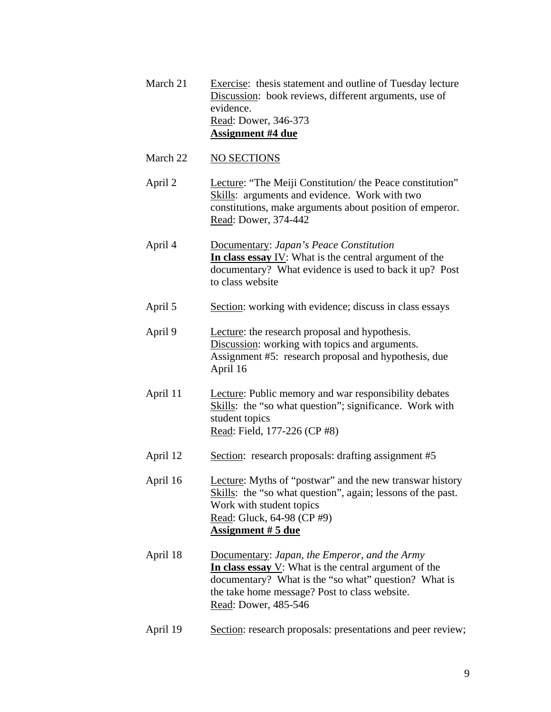| March 21 | Exercise: thesis statement and outline of Tuesday lecture<br>Discussion: book reviews, different arguments, use of<br>evidence.<br>Read: Dower, 346-373<br><b>Assignment #4 due</b>                                                        |
|----------|--------------------------------------------------------------------------------------------------------------------------------------------------------------------------------------------------------------------------------------------|
| March 22 | <b>NO SECTIONS</b>                                                                                                                                                                                                                         |
| April 2  | Lecture: "The Meiji Constitution/ the Peace constitution"<br>Skills: arguments and evidence. Work with two<br>constitutions, make arguments about position of emperor.<br>Read: Dower, 374-442                                             |
| April 4  | Documentary: Japan's Peace Constitution<br>In class essay IV: What is the central argument of the<br>documentary? What evidence is used to back it up? Post<br>to class website                                                            |
| April 5  | Section: working with evidence; discuss in class essays                                                                                                                                                                                    |
| April 9  | Lecture: the research proposal and hypothesis.<br>Discussion: working with topics and arguments.<br>Assignment #5: research proposal and hypothesis, due<br>April 16                                                                       |
| April 11 | Lecture: Public memory and war responsibility debates<br>Skills: the "so what question"; significance. Work with<br>student topics<br>Read: Field, 177-226 (CP #8)                                                                         |
| April 12 | Section: research proposals: drafting assignment #5                                                                                                                                                                                        |
| April 16 | Lecture: Myths of "postwar" and the new transwar history<br>Skills: the "so what question", again; lessons of the past.<br>Work with student topics<br>Read: Gluck, 64-98 (CP #9)<br><b>Assignment #5 due</b>                              |
| April 18 | Documentary: Japan, the Emperor, and the Army<br>In class essay $V$ : What is the central argument of the<br>documentary? What is the "so what" question? What is<br>the take home message? Post to class website.<br>Read: Dower, 485-546 |

April 19 Section: research proposals: presentations and peer review;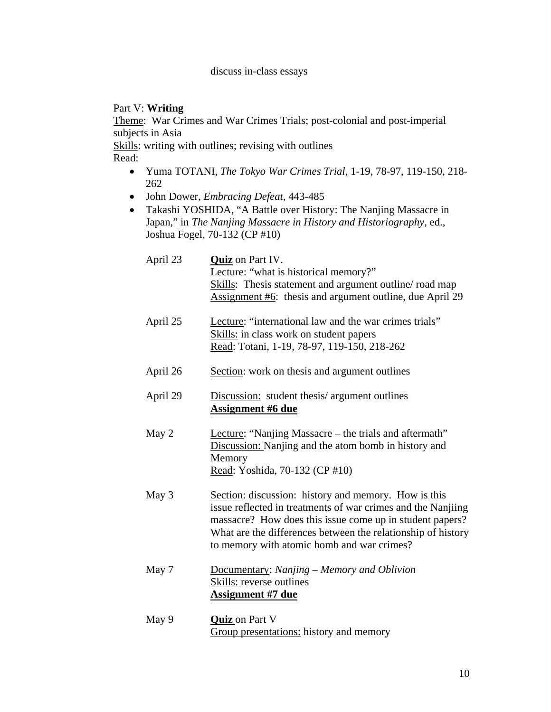# Part V: **Writing**

Theme: War Crimes and War Crimes Trials; post-colonial and post-imperial subjects in Asia

Skills: writing with outlines; revising with outlines

Read:

- Yuma TOTANI, *The Tokyo War Crimes Trial,* 1-19, 78-97, 119-150, 218- 262
- John Dower, *Embracing Defeat*, 443-485
- Takashi YOSHIDA, "A Battle over History: The Nanjing Massacre in Japan," in *The Nanjing Massacre in History and Historiography*, ed., Joshua Fogel, 70-132 (CP #10)

| April 23               | <b>Quiz</b> on Part IV.<br>Lecture: "what is historical memory?"<br>Skills: Thesis statement and argument outline/road map<br>Assignment #6: thesis and argument outline, due April 29                                                                                                         |
|------------------------|------------------------------------------------------------------------------------------------------------------------------------------------------------------------------------------------------------------------------------------------------------------------------------------------|
| April 25               | Lecture: "international law and the war crimes trials"<br>Skills: in class work on student papers<br>Read: Totani, 1-19, 78-97, 119-150, 218-262                                                                                                                                               |
| April 26               | Section: work on thesis and argument outlines                                                                                                                                                                                                                                                  |
| April 29               | Discussion: student thesis/ argument outlines<br><u>Assignment #6 due</u>                                                                                                                                                                                                                      |
| May 2                  | Lecture: "Nanjing Massacre – the trials and aftermath"<br>Discussion: Nanjing and the atom bomb in history and<br>Memory<br>Read: Yoshida, 70-132 (CP #10)                                                                                                                                     |
| May 3                  | Section: discussion: history and memory. How is this<br>issue reflected in treatments of war crimes and the Nanjiing<br>massacre? How does this issue come up in student papers?<br>What are the differences between the relationship of history<br>to memory with atomic bomb and war crimes? |
| May 7                  | Documentary: Nanjing - Memory and Oblivion<br><b>Skills:</b> reverse outlines<br><u>Assignment #7 due</u>                                                                                                                                                                                      |
| $M_{\odot}$ . $\Omega$ | $\sum_{i=1}^{n} a_i$                                                                                                                                                                                                                                                                           |

May 9 **Quiz** on Part V Group presentations: history and memory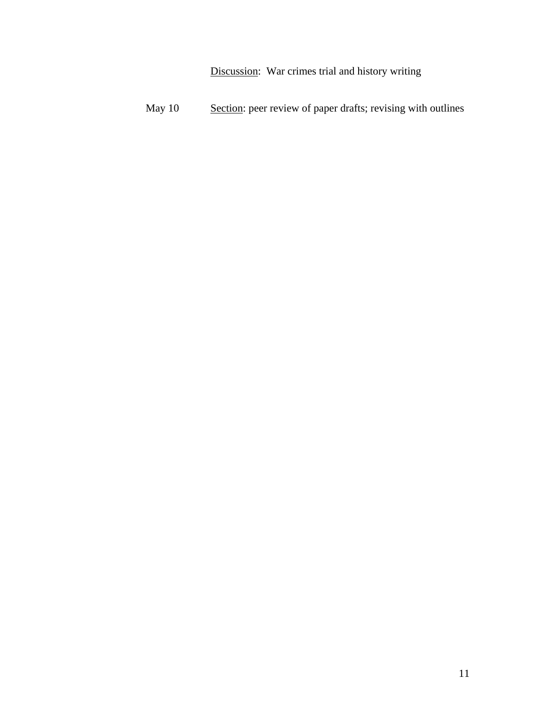Discussion: War crimes trial and history writing

May 10 Section: peer review of paper drafts; revising with outlines